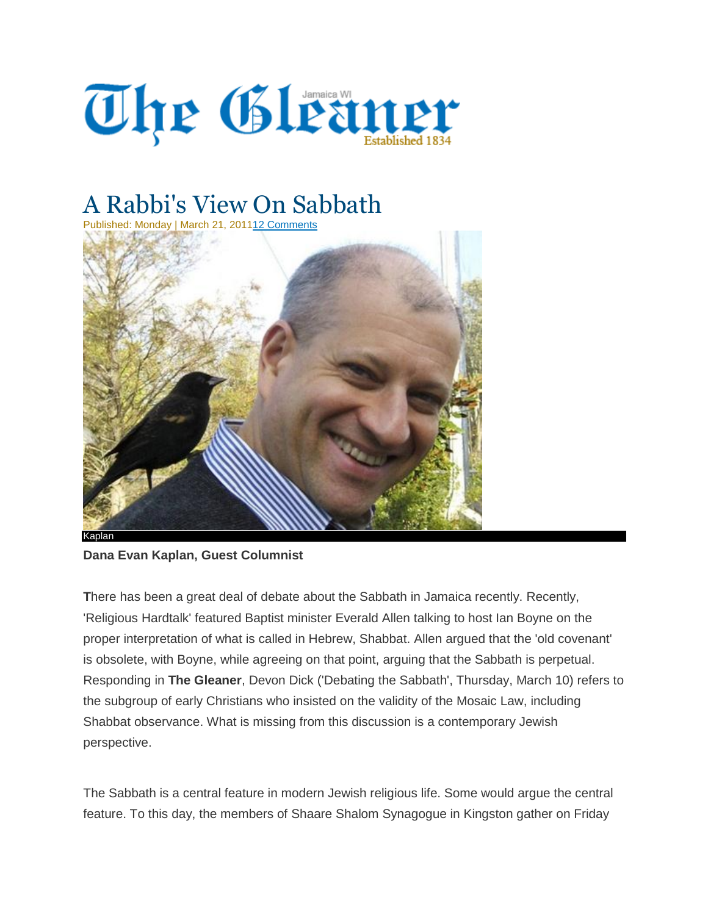

## A Rabbi's View On Sabbath

Published: Monday | March 21, 201112 [Comments](http://jamaica-gleaner.com/gleaner/20110321/cleisure/cleisure4.html#disqus_thread)



## **Dana Evan Kaplan, Guest Columnist**

**T**here has been a great deal of debate about the Sabbath in Jamaica recently. Recently, 'Religious Hardtalk' featured Baptist minister Everald Allen talking to host Ian Boyne on the proper interpretation of what is called in Hebrew, Shabbat. Allen argued that the 'old covenant' is obsolete, with Boyne, while agreeing on that point, arguing that the Sabbath is perpetual. Responding in **The Gleaner**, Devon Dick ('Debating the Sabbath', Thursday, March 10) refers to the subgroup of early Christians who insisted on the validity of the Mosaic Law, including Shabbat observance. What is missing from this discussion is a contemporary Jewish perspective.

The Sabbath is a central feature in modern Jewish religious life. Some would argue the central feature. To this day, the members of Shaare Shalom Synagogue in Kingston gather on Friday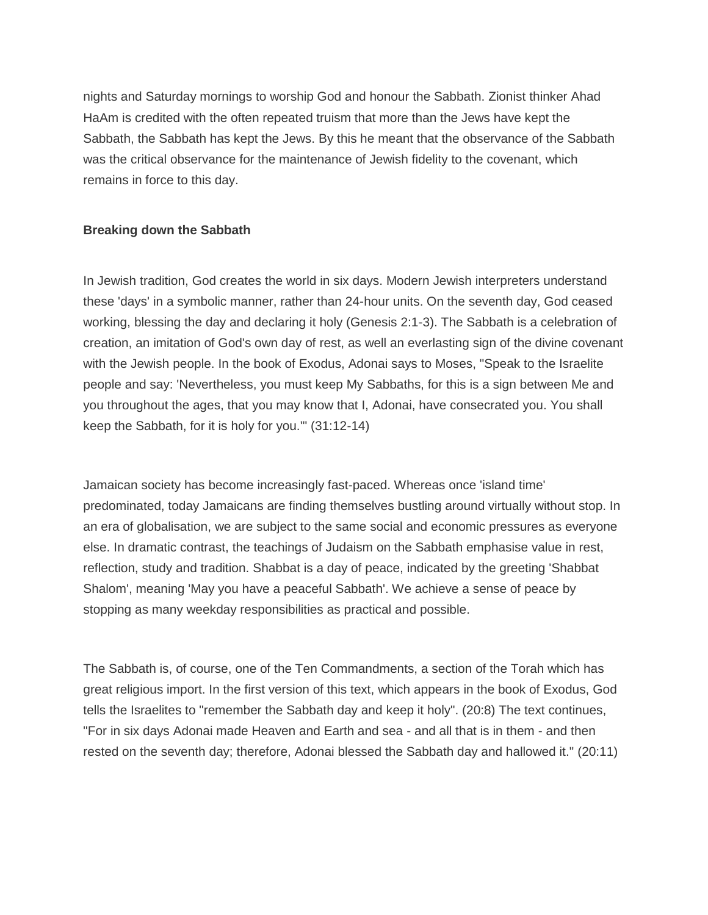nights and Saturday mornings to worship God and honour the Sabbath. Zionist thinker Ahad HaAm is credited with the often repeated truism that more than the Jews have kept the Sabbath, the Sabbath has kept the Jews. By this he meant that the observance of the Sabbath was the critical observance for the maintenance of Jewish fidelity to the covenant, which remains in force to this day.

## **Breaking down the Sabbath**

In Jewish tradition, God creates the world in six days. Modern Jewish interpreters understand these 'days' in a symbolic manner, rather than 24-hour units. On the seventh day, God ceased working, blessing the day and declaring it holy (Genesis 2:1-3). The Sabbath is a celebration of creation, an imitation of God's own day of rest, as well an everlasting sign of the divine covenant with the Jewish people. In the book of Exodus, Adonai says to Moses, "Speak to the Israelite people and say: 'Nevertheless, you must keep My Sabbaths, for this is a sign between Me and you throughout the ages, that you may know that I, Adonai, have consecrated you. You shall keep the Sabbath, for it is holy for you.'" (31:12-14)

Jamaican society has become increasingly fast-paced. Whereas once 'island time' predominated, today Jamaicans are finding themselves bustling around virtually without stop. In an era of globalisation, we are subject to the same social and economic pressures as everyone else. In dramatic contrast, the teachings of Judaism on the Sabbath emphasise value in rest, reflection, study and tradition. Shabbat is a day of peace, indicated by the greeting 'Shabbat Shalom', meaning 'May you have a peaceful Sabbath'. We achieve a sense of peace by stopping as many weekday responsibilities as practical and possible.

The Sabbath is, of course, one of the Ten Commandments, a section of the Torah which has great religious import. In the first version of this text, which appears in the book of Exodus, God tells the Israelites to "remember the Sabbath day and keep it holy". (20:8) The text continues, "For in six days Adonai made Heaven and Earth and sea - and all that is in them - and then rested on the seventh day; therefore, Adonai blessed the Sabbath day and hallowed it." (20:11)